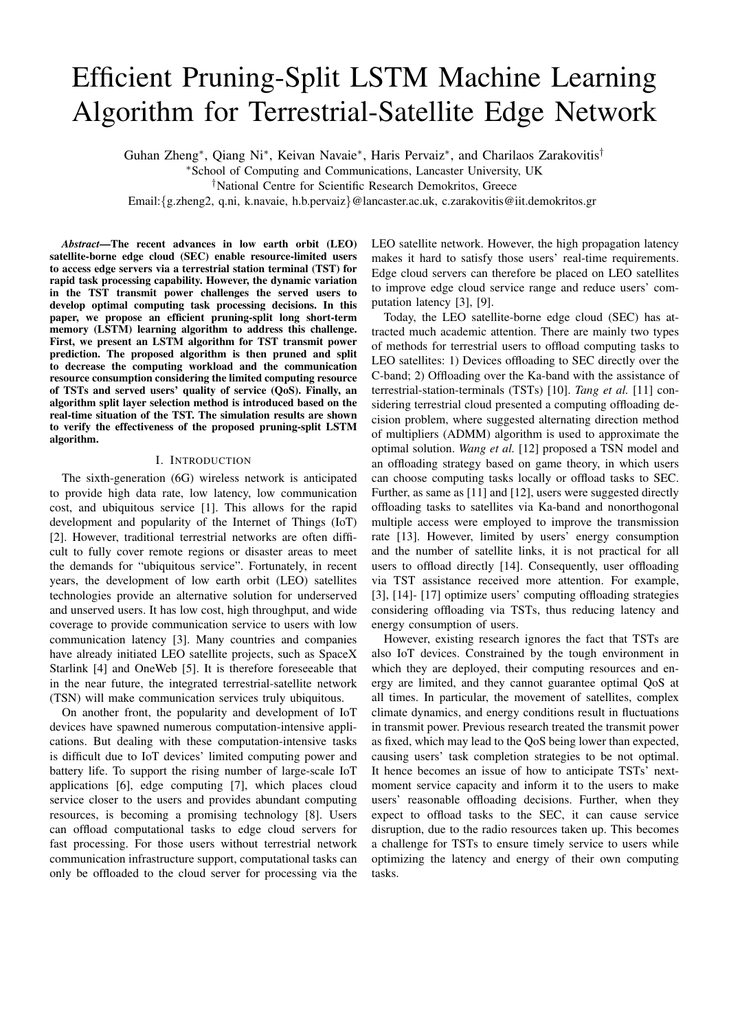# Efficient Pruning-Split LSTM Machine Learning Algorithm for Terrestrial-Satellite Edge Network

Guhan Zheng<sup>∗</sup>, Qiang Ni<sup>∗</sup>, Keivan Navaie<sup>∗</sup>, Haris Pervaiz<sup>∗</sup>, and Charilaos Zarakovitis<sup>†</sup>

<sup>∗</sup>School of Computing and Communications, Lancaster University, UK

†National Centre for Scientific Research Demokritos, Greece

Email:{g.zheng2, q.ni, k.navaie, h.b.pervaiz}@lancaster.ac.uk, c.zarakovitis@iit.demokritos.gr

*Abstract*—The recent advances in low earth orbit (LEO) satellite-borne edge cloud (SEC) enable resource-limited users to access edge servers via a terrestrial station terminal (TST) for rapid task processing capability. However, the dynamic variation in the TST transmit power challenges the served users to develop optimal computing task processing decisions. In this paper, we propose an efficient pruning-split long short-term memory (LSTM) learning algorithm to address this challenge. First, we present an LSTM algorithm for TST transmit power prediction. The proposed algorithm is then pruned and split to decrease the computing workload and the communication resource consumption considering the limited computing resource of TSTs and served users' quality of service (QoS). Finally, an algorithm split layer selection method is introduced based on the real-time situation of the TST. The simulation results are shown to verify the effectiveness of the proposed pruning-split LSTM algorithm.

## I. INTRODUCTION

The sixth-generation (6G) wireless network is anticipated to provide high data rate, low latency, low communication cost, and ubiquitous service [1]. This allows for the rapid development and popularity of the Internet of Things (IoT) [2]. However, traditional terrestrial networks are often difficult to fully cover remote regions or disaster areas to meet the demands for "ubiquitous service". Fortunately, in recent years, the development of low earth orbit (LEO) satellites technologies provide an alternative solution for underserved and unserved users. It has low cost, high throughput, and wide coverage to provide communication service to users with low communication latency [3]. Many countries and companies have already initiated LEO satellite projects, such as SpaceX Starlink [4] and OneWeb [5]. It is therefore foreseeable that in the near future, the integrated terrestrial-satellite network (TSN) will make communication services truly ubiquitous.

On another front, the popularity and development of IoT devices have spawned numerous computation-intensive applications. But dealing with these computation-intensive tasks is difficult due to IoT devices' limited computing power and battery life. To support the rising number of large-scale IoT applications [6], edge computing [7], which places cloud service closer to the users and provides abundant computing resources, is becoming a promising technology [8]. Users can offload computational tasks to edge cloud servers for fast processing. For those users without terrestrial network communication infrastructure support, computational tasks can only be offloaded to the cloud server for processing via the

LEO satellite network. However, the high propagation latency makes it hard to satisfy those users' real-time requirements. Edge cloud servers can therefore be placed on LEO satellites to improve edge cloud service range and reduce users' computation latency [3], [9].

Today, the LEO satellite-borne edge cloud (SEC) has attracted much academic attention. There are mainly two types of methods for terrestrial users to offload computing tasks to LEO satellites: 1) Devices offloading to SEC directly over the C-band; 2) Offloading over the Ka-band with the assistance of terrestrial-station-terminals (TSTs) [10]. *Tang et al.* [11] considering terrestrial cloud presented a computing offloading decision problem, where suggested alternating direction method of multipliers (ADMM) algorithm is used to approximate the optimal solution. *Wang et al.* [12] proposed a TSN model and an offloading strategy based on game theory, in which users can choose computing tasks locally or offload tasks to SEC. Further, as same as [11] and [12], users were suggested directly offloading tasks to satellites via Ka-band and nonorthogonal multiple access were employed to improve the transmission rate [13]. However, limited by users' energy consumption and the number of satellite links, it is not practical for all users to offload directly [14]. Consequently, user offloading via TST assistance received more attention. For example, [3], [14]- [17] optimize users' computing offloading strategies considering offloading via TSTs, thus reducing latency and energy consumption of users.

However, existing research ignores the fact that TSTs are also IoT devices. Constrained by the tough environment in which they are deployed, their computing resources and energy are limited, and they cannot guarantee optimal QoS at all times. In particular, the movement of satellites, complex climate dynamics, and energy conditions result in fluctuations in transmit power. Previous research treated the transmit power as fixed, which may lead to the QoS being lower than expected, causing users' task completion strategies to be not optimal. It hence becomes an issue of how to anticipate TSTs' nextmoment service capacity and inform it to the users to make users' reasonable offloading decisions. Further, when they expect to offload tasks to the SEC, it can cause service disruption, due to the radio resources taken up. This becomes a challenge for TSTs to ensure timely service to users while optimizing the latency and energy of their own computing tasks.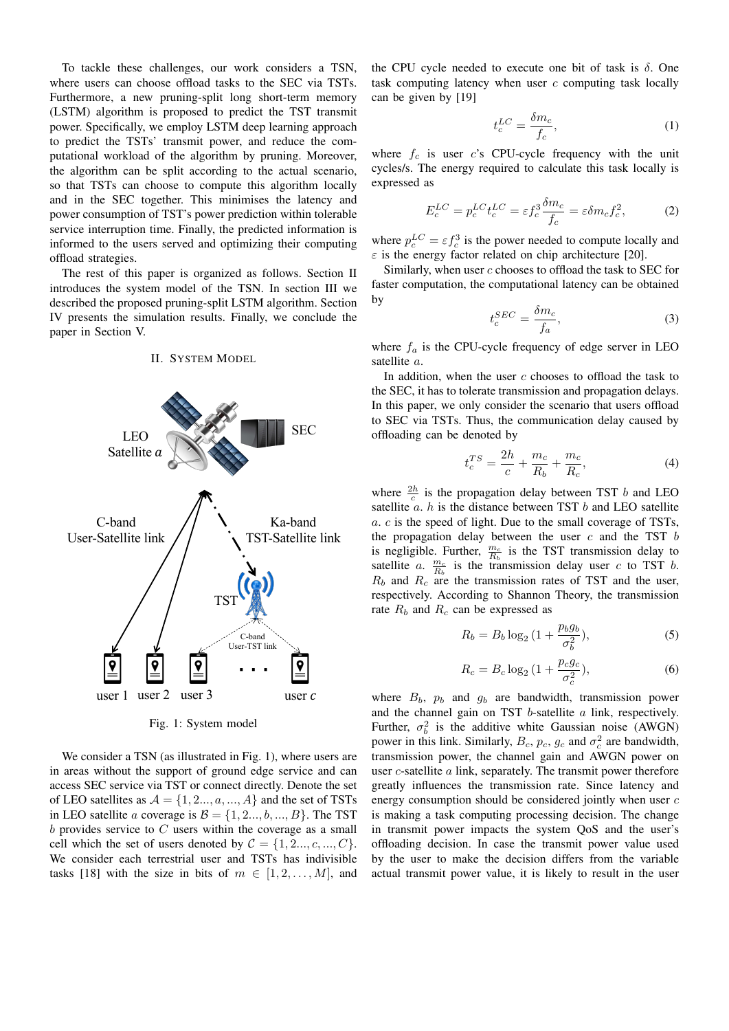To tackle these challenges, our work considers a TSN, where users can choose offload tasks to the SEC via TSTs. Furthermore, a new pruning-split long short-term memory (LSTM) algorithm is proposed to predict the TST transmit power. Specifically, we employ LSTM deep learning approach to predict the TSTs' transmit power, and reduce the computational workload of the algorithm by pruning. Moreover, the algorithm can be split according to the actual scenario, so that TSTs can choose to compute this algorithm locally and in the SEC together. This minimises the latency and power consumption of TST's power prediction within tolerable service interruption time. Finally, the predicted information is informed to the users served and optimizing their computing offload strategies.

The rest of this paper is organized as follows. Section II introduces the system model of the TSN. In section III we described the proposed pruning-split LSTM algorithm. Section IV presents the simulation results. Finally, we conclude the paper in Section V.



II. SYSTEM MODEL

Fig. 1: System model

We consider a TSN (as illustrated in Fig. 1), where users are in areas without the support of ground edge service and can access SEC service via TST or connect directly. Denote the set of LEO satellites as  $A = \{1, 2, ..., a, ..., A\}$  and the set of TSTs in LEO satellite a coverage is  $\mathcal{B} = \{1, 2..., b, ..., B\}$ . The TST  $b$  provides service to  $C$  users within the coverage as a small cell which the set of users denoted by  $C = \{1, 2..., c, ..., C\}$ . We consider each terrestrial user and TSTs has indivisible tasks [18] with the size in bits of  $m \in [1, 2, \ldots, M]$ , and

the CPU cycle needed to execute one bit of task is  $\delta$ . One task computing latency when user  $c$  computing task locally can be given by [19]

$$
t_c^{LC} = \frac{\delta m_c}{f_c},\tag{1}
$$

where  $f_c$  is user c's CPU-cycle frequency with the unit cycles/s. The energy required to calculate this task locally is expressed as

$$
E_c^{LC} = p_c^{LC} t_c^{LC} = \varepsilon f_c^3 \frac{\delta m_c}{f_c} = \varepsilon \delta m_c f_c^2,\tag{2}
$$

where  $p_c^{LC} = \varepsilon f_c^3$  is the power needed to compute locally and  $\varepsilon$  is the energy factor related on chip architecture [20].

Similarly, when user  $c$  chooses to offload the task to SEC for faster computation, the computational latency can be obtained by

$$
t_c^{SEC} = \frac{\delta m_c}{f_a},\tag{3}
$$

where  $f_a$  is the CPU-cycle frequency of edge server in LEO satellite a.

In addition, when the user  $c$  chooses to offload the task to the SEC, it has to tolerate transmission and propagation delays. In this paper, we only consider the scenario that users offload to SEC via TSTs. Thus, the communication delay caused by offloading can be denoted by

$$
t_c^{TS} = \frac{2h}{c} + \frac{m_c}{R_b} + \frac{m_c}{R_c},
$$
 (4)

where  $\frac{2h}{c}$  is the propagation delay between TST b and LEO satellite  $a$ .  $h$  is the distance between TST  $b$  and LEO satellite a. c is the speed of light. Due to the small coverage of TSTs, the propagation delay between the user  $c$  and the TST  $b$ is negligible. Further,  $\frac{m_c}{R_b}$  is the TST transmission delay to satellite a.  $\frac{m_c}{R_b}$  is the transmission delay user c to TST b.  $R_b$  and  $R_c$  are the transmission rates of TST and the user, respectively. According to Shannon Theory, the transmission rate  $R_b$  and  $R_c$  can be expressed as

$$
R_b = B_b \log_2 \left( 1 + \frac{p_b g_b}{\sigma_b^2} \right),\tag{5}
$$

$$
R_c = B_c \log_2 \left( 1 + \frac{p_c g_c}{\sigma_c^2} \right),\tag{6}
$$

where  $B_b$ ,  $p_b$  and  $q_b$  are bandwidth, transmission power and the channel gain on TST  $b$ -satellite  $a$  link, respectively. Further,  $\sigma_b^2$  is the additive white Gaussian noise (AWGN) power in this link. Similarly,  $B_c$ ,  $p_c$ ,  $g_c$  and  $\sigma_c^2$  are bandwidth, transmission power, the channel gain and AWGN power on user  $c$ -satellite  $a$  link, separately. The transmit power therefore greatly influences the transmission rate. Since latency and energy consumption should be considered jointly when user c is making a task computing processing decision. The change in transmit power impacts the system QoS and the user's offloading decision. In case the transmit power value used by the user to make the decision differs from the variable actual transmit power value, it is likely to result in the user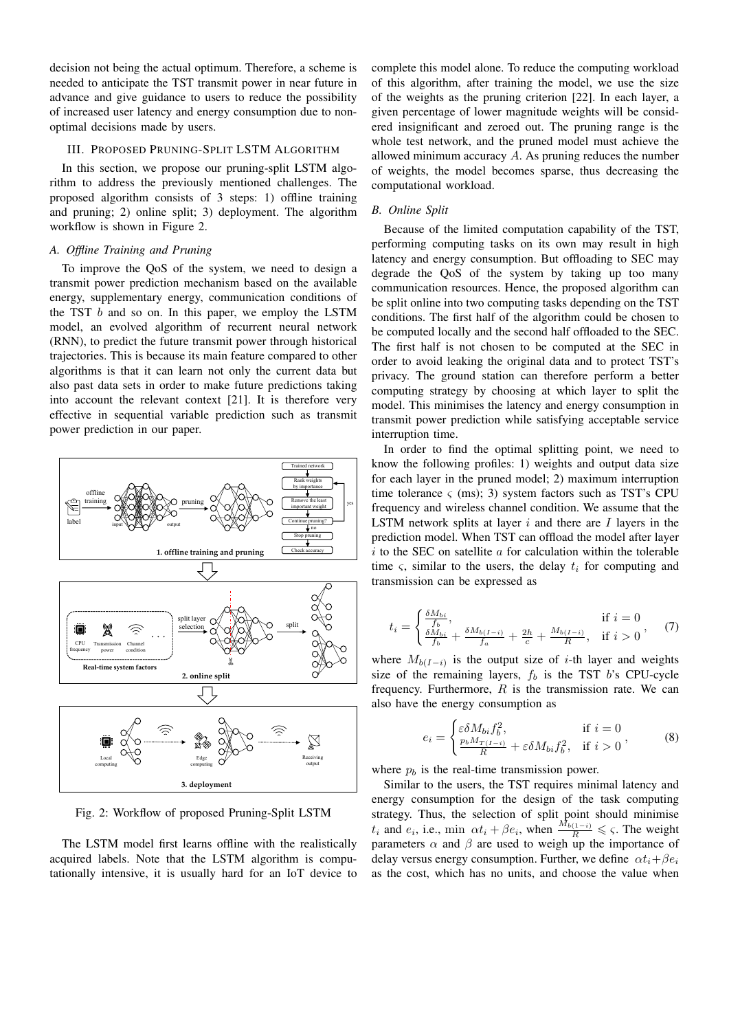decision not being the actual optimum. Therefore, a scheme is needed to anticipate the TST transmit power in near future in advance and give guidance to users to reduce the possibility of increased user latency and energy consumption due to nonoptimal decisions made by users.

#### III. PROPOSED PRUNING-SPLIT LSTM ALGORITHM

In this section, we propose our pruning-split LSTM algorithm to address the previously mentioned challenges. The proposed algorithm consists of 3 steps: 1) offline training and pruning; 2) online split; 3) deployment. The algorithm workflow is shown in Figure 2.

## *A. Offline Training and Pruning*

To improve the QoS of the system, we need to design a transmit power prediction mechanism based on the available energy, supplementary energy, communication conditions of the TST  $b$  and so on. In this paper, we employ the LSTM model, an evolved algorithm of recurrent neural network (RNN), to predict the future transmit power through historical trajectories. This is because its main feature compared to other algorithms is that it can learn not only the current data but also past data sets in order to make future predictions taking into account the relevant context [21]. It is therefore very effective in sequential variable prediction such as transmit power prediction in our paper.



Fig. 2: Workflow of proposed Pruning-Split LSTM

The LSTM model first learns offline with the realistically acquired labels. Note that the LSTM algorithm is computationally intensive, it is usually hard for an IoT device to

complete this model alone. To reduce the computing workload of this algorithm, after training the model, we use the size of the weights as the pruning criterion [22]. In each layer, a given percentage of lower magnitude weights will be considered insignificant and zeroed out. The pruning range is the whole test network, and the pruned model must achieve the allowed minimum accuracy A. As pruning reduces the number of weights, the model becomes sparse, thus decreasing the computational workload.

## *B. Online Split*

Because of the limited computation capability of the TST, performing computing tasks on its own may result in high latency and energy consumption. But offloading to SEC may degrade the QoS of the system by taking up too many communication resources. Hence, the proposed algorithm can be split online into two computing tasks depending on the TST conditions. The first half of the algorithm could be chosen to be computed locally and the second half offloaded to the SEC. The first half is not chosen to be computed at the SEC in order to avoid leaking the original data and to protect TST's privacy. The ground station can therefore perform a better computing strategy by choosing at which layer to split the model. This minimises the latency and energy consumption in transmit power prediction while satisfying acceptable service interruption time.

In order to find the optimal splitting point, we need to know the following profiles: 1) weights and output data size for each layer in the pruned model; 2) maximum interruption time tolerance  $\varsigma$  (ms); 3) system factors such as TST's CPU frequency and wireless channel condition. We assume that the LSTM network splits at layer  $i$  and there are  $I$  layers in the prediction model. When TST can offload the model after layer  $i$  to the SEC on satellite  $a$  for calculation within the tolerable time  $\varsigma$ , similar to the users, the delay  $t_i$  for computing and transmission can be expressed as

$$
t_i = \begin{cases} \frac{\delta M_{bi}}{f_b}, & \text{if } i = 0\\ \frac{\delta M_{bi}}{f_b} + \frac{\delta M_{b(I-i)}}{f_a} + \frac{2h}{c} + \frac{M_{b(I-i)}}{R}, & \text{if } i > 0 \end{cases}, \quad (7)
$$

where  $M_{b(I-i)}$  is the output size of *i*-th layer and weights size of the remaining layers,  $f_b$  is the TST b's CPU-cycle frequency. Furthermore,  $R$  is the transmission rate. We can also have the energy consumption as

$$
e_i = \begin{cases} \varepsilon \delta M_{bi} f_b^2, & \text{if } i = 0\\ \frac{p_b M_{T(i-i)}}{R} + \varepsilon \delta M_{bi} f_b^2, & \text{if } i > 0 \end{cases}, \tag{8}
$$

where  $p_b$  is the real-time transmission power.

Similar to the users, the TST requires minimal latency and energy consumption for the design of the task computing strategy. Thus, the selection of split point should minimise  $t_i$  and  $e_i$ , i.e., min  $\alpha t_i + \beta e_i$ , when  $\frac{M_{b(1-i)}}{R} \leqslant \varsigma$ . The weight parameters  $\alpha$  and  $\beta$  are used to weigh up the importance of delay versus energy consumption. Further, we define  $\alpha t_i + \beta e_i$ as the cost, which has no units, and choose the value when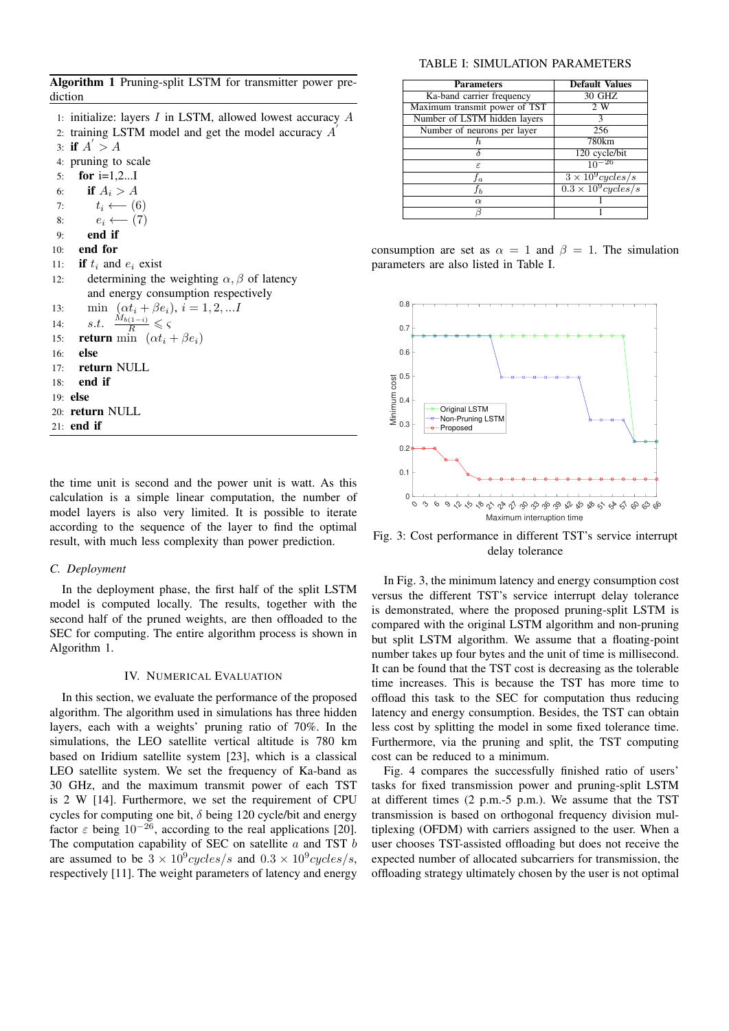Algorithm 1 Pruning-split LSTM for transmitter power prediction

- 1: initialize: layers I in LSTM, allowed lowest accuracy A
- 2: training LSTM model and get the model accuracy  $\overrightarrow{A}$
- 3: if  $A' > A$

4: pruning to scale

- 5: for i=1,2...I
- 6: if  $A_i > A$
- 7:  $t_i \longleftarrow (6)$
- 8:  $e_i \leftarrow (7)$
- 9: end if
- 10: end for

11: if  $t_i$  and  $e_i$  exist

- 12: determining the weighting  $\alpha$ ,  $\beta$  of latency and energy consumption respectively 13: min  $(\alpha t_i + \beta e_i), i = 1, 2, ...I$ 14:  $s.t. \frac{\dot{M}_{b(1-i)}}{R} \leqslant \varsigma$ 15: **return** min  $(\alpha t_i + \beta e_i)$ 16: else 17: return NULL 18: end if 19: else
- 20: return NULL
- 21: end if

the time unit is second and the power unit is watt. As this calculation is a simple linear computation, the number of model layers is also very limited. It is possible to iterate according to the sequence of the layer to find the optimal result, with much less complexity than power prediction.

## *C. Deployment*

In the deployment phase, the first half of the split LSTM model is computed locally. The results, together with the second half of the pruned weights, are then offloaded to the SEC for computing. The entire algorithm process is shown in Algorithm 1.

#### IV. NUMERICAL EVALUATION

In this section, we evaluate the performance of the proposed algorithm. The algorithm used in simulations has three hidden layers, each with a weights' pruning ratio of 70%. In the simulations, the LEO satellite vertical altitude is 780 km based on Iridium satellite system [23], which is a classical LEO satellite system. We set the frequency of Ka-band as 30 GHz, and the maximum transmit power of each TST is 2 W [14]. Furthermore, we set the requirement of CPU cycles for computing one bit,  $\delta$  being 120 cycle/bit and energy factor  $\varepsilon$  being 10<sup>-26</sup>, according to the real applications [20]. The computation capability of SEC on satellite  $a$  and TST  $b$ are assumed to be  $3 \times 10^9$  cycles/s and  $0.3 \times 10^9$  cycles/s, respectively [11]. The weight parameters of latency and energy

## TABLE I: SIMULATION PARAMETERS

| <b>Parameters</b>             | <b>Default Values</b>      |
|-------------------------------|----------------------------|
| Ka-band carrier frequency     | 30 GHZ                     |
| Maximum transmit power of TST | 2 W                        |
| Number of LSTM hidden layers  |                            |
| Number of neurons per layer   | 256                        |
|                               | 780km                      |
|                               | 120 cycle/bit              |
| $\epsilon$                    | $10^{-26}$                 |
| f a                           | $3 \times 10^9$ cycles/s   |
| ŤЬ                            | $0.3 \times 10^9$ cycles/s |
| $\alpha$                      |                            |
|                               |                            |

consumption are set as  $\alpha = 1$  and  $\beta = 1$ . The simulation parameters are also listed in Table I.



Fig. 3: Cost performance in different TST's service interrupt delay tolerance

In Fig. 3, the minimum latency and energy consumption cost versus the different TST's service interrupt delay tolerance is demonstrated, where the proposed pruning-split LSTM is compared with the original LSTM algorithm and non-pruning but split LSTM algorithm. We assume that a floating-point number takes up four bytes and the unit of time is millisecond. It can be found that the TST cost is decreasing as the tolerable time increases. This is because the TST has more time to offload this task to the SEC for computation thus reducing latency and energy consumption. Besides, the TST can obtain less cost by splitting the model in some fixed tolerance time. Furthermore, via the pruning and split, the TST computing cost can be reduced to a minimum.

Fig. 4 compares the successfully finished ratio of users' tasks for fixed transmission power and pruning-split LSTM at different times (2 p.m.-5 p.m.). We assume that the TST transmission is based on orthogonal frequency division multiplexing (OFDM) with carriers assigned to the user. When a user chooses TST-assisted offloading but does not receive the expected number of allocated subcarriers for transmission, the offloading strategy ultimately chosen by the user is not optimal